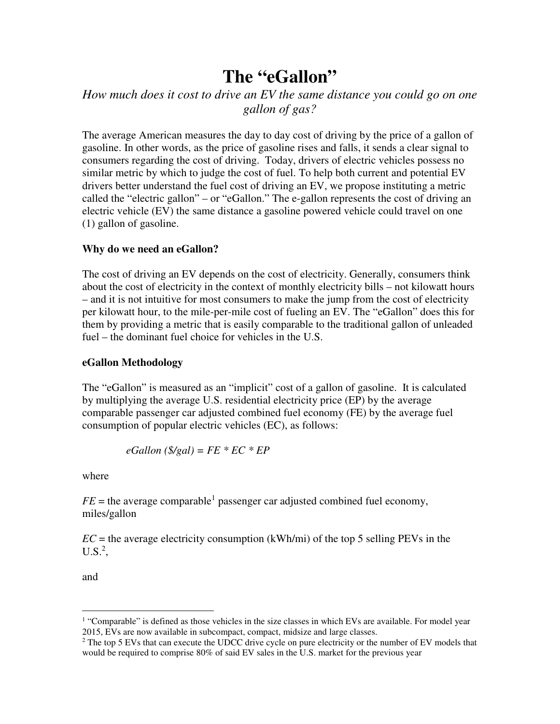# **The "eGallon"**

## *How much does it cost to drive an EV the same distance you could go on one gallon of gas?*

The average American measures the day to day cost of driving by the price of a gallon of gasoline. In other words, as the price of gasoline rises and falls, it sends a clear signal to consumers regarding the cost of driving. Today, drivers of electric vehicles possess no similar metric by which to judge the cost of fuel. To help both current and potential EV drivers better understand the fuel cost of driving an EV, we propose instituting a metric called the "electric gallon" – or "eGallon." The e-gallon represents the cost of driving an electric vehicle (EV) the same distance a gasoline powered vehicle could travel on one (1) gallon of gasoline.

### **Why do we need an eGallon?**

The cost of driving an EV depends on the cost of electricity. Generally, consumers think about the cost of electricity in the context of monthly electricity bills – not kilowatt hours – and it is not intuitive for most consumers to make the jump from the cost of electricity per kilowatt hour, to the mile-per-mile cost of fueling an EV. The "eGallon" does this for them by providing a metric that is easily comparable to the traditional gallon of unleaded fuel – the dominant fuel choice for vehicles in the U.S.

#### **eGallon Methodology**

The "eGallon" is measured as an "implicit" cost of a gallon of gasoline. It is calculated by multiplying the average U.S. residential electricity price (EP) by the average comparable passenger car adjusted combined fuel economy (FE) by the average fuel consumption of popular electric vehicles (EC), as follows:

$$
e\text{Gallon}\left(\frac{\text{S}}{\text{Sal}}\right) = FE * EC * EP
$$

where

 $FE$  = the average comparable<sup>1</sup> passenger car adjusted combined fuel economy, miles/gallon

 $EC =$  the average electricity consumption (kWh/mi) of the top 5 selling PEVs in the  $U.S.<sup>2</sup>$ ,

and

<u>.</u>

<sup>&</sup>lt;sup>1</sup> "Comparable" is defined as those vehicles in the size classes in which EVs are available. For model year 2015, EVs are now available in subcompact, compact, midsize and large classes.

<sup>&</sup>lt;sup>2</sup> The top 5 EVs that can execute the UDCC drive cycle on pure electricity or the number of EV models that would be required to comprise 80% of said EV sales in the U.S. market for the previous year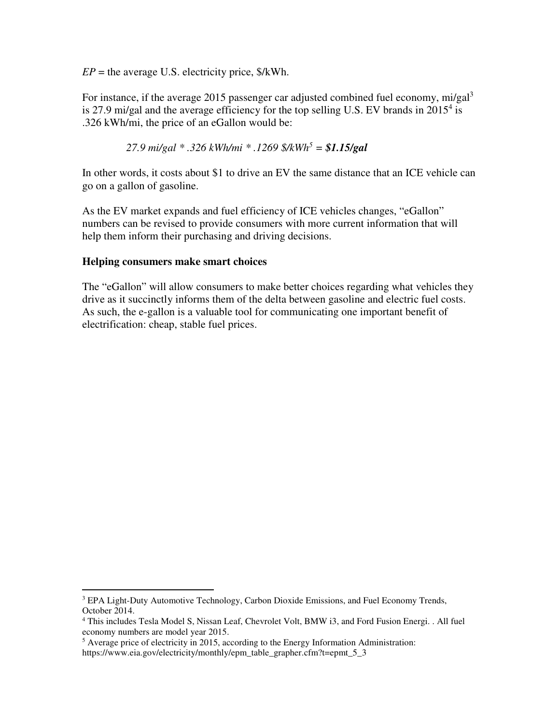$EP =$  the average U.S. electricity price,  $\frac{\text{S}}{\text{K}}$ Wh.

For instance, if the average 2015 passenger car adjusted combined fuel economy, mi/gal<sup>3</sup> is 27.9 mi/gal and the average efficiency for the top selling U.S. EV brands in  $2015<sup>4</sup>$  is .326 kWh/mi, the price of an eGallon would be:

 *27.9 mi/gal \* .326 kWh/mi \* .1269 \$/kWh<sup>5</sup> = \$1.15/gal*

In other words, it costs about \$1 to drive an EV the same distance that an ICE vehicle can go on a gallon of gasoline.

As the EV market expands and fuel efficiency of ICE vehicles changes, "eGallon" numbers can be revised to provide consumers with more current information that will help them inform their purchasing and driving decisions.

#### **Helping consumers make smart choices**

The "eGallon" will allow consumers to make better choices regarding what vehicles they drive as it succinctly informs them of the delta between gasoline and electric fuel costs. As such, the e-gallon is a valuable tool for communicating one important benefit of electrification: cheap, stable fuel prices.

<sup>&</sup>lt;sup>3</sup> EPA Light-Duty Automotive Technology, Carbon Dioxide Emissions, and Fuel Economy Trends, October 2014.

<sup>&</sup>lt;sup>4</sup> This includes Tesla Model S, Nissan Leaf, Chevrolet Volt, BMW i3, and Ford Fusion Energi. . All fuel economy numbers are model year 2015.

<sup>&</sup>lt;sup>5</sup> Average price of electricity in 2015, according to the Energy Information Administration:

https://www.eia.gov/electricity/monthly/epm\_table\_grapher.cfm?t=epmt\_5\_3